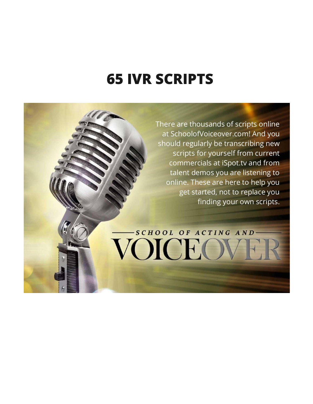## **65 IVR SCRIPTS**

There are thousands of scripts online at SchoolofVoiceover.com! And you should regularly be transcribing new scripts for yourself from current commercials at iSpot.tv and from talent demos you are listening to online. These are here to help you get started, not to replace you finding your own scripts.

# SCHOOL OF ACTING AND VOICEO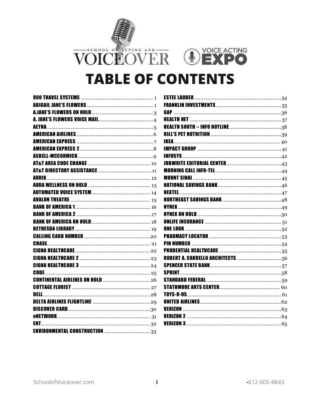

**VOICE ACTING**  $\left(\begin{smallmatrix}\mathbf{0} \end{smallmatrix}\right)$ DO

# **TABLE OF CONTENTS**

| ROBERT A. CARDELLO ARCHITECTS $\ldots\ldots\ldots\ldots\ldots\ldots\ldots\ldots\ldots\ldots\ldots$ |  |
|----------------------------------------------------------------------------------------------------|--|
|                                                                                                    |  |
|                                                                                                    |  |
|                                                                                                    |  |
|                                                                                                    |  |
|                                                                                                    |  |
|                                                                                                    |  |
|                                                                                                    |  |
|                                                                                                    |  |
|                                                                                                    |  |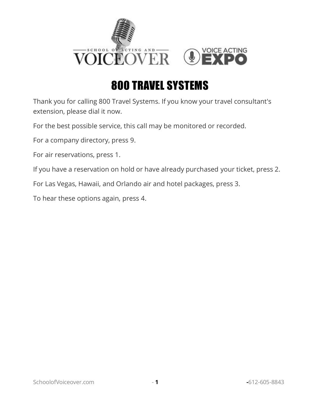

## 800 TRAVEL SYSTEMS

<span id="page-2-0"></span>Thank you for calling 800 Travel Systems. If you know your travel consultant's extension, please dial it now.

For the best possible service, this call may be monitored or recorded.

For a company directory, press 9.

For air reservations, press 1.

If you have a reservation on hold or have already purchased your ticket, press 2.

For Las Vegas, Hawaii, and Orlando air and hotel packages, press 3.

To hear these options again, press 4.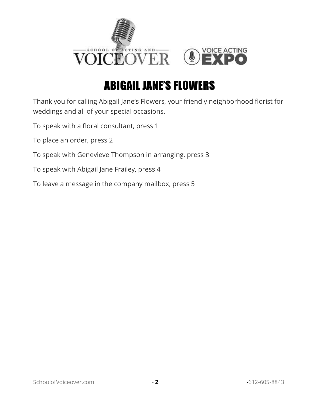

## ABIGAIL JANE'S FLOWERS

Thank you for calling Abigail Jane's Flowers, your friendly neighborhood florist for weddings and all of your special occasions.

To speak with a floral consultant, press 1

To place an order, press 2

- To speak with Genevieve Thompson in arranging, press 3
- To speak with Abigail Jane Frailey, press 4

To leave a message in the company mailbox, press 5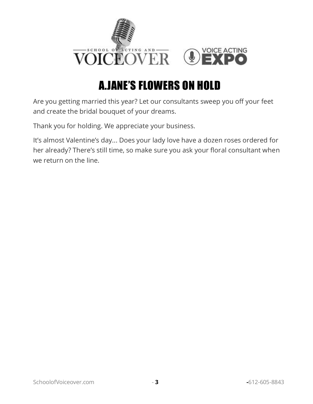

## A.JANE'S FLOWERS ON HOLD

<span id="page-4-0"></span>Are you getting married this year? Let our consultants sweep you off your feet and create the bridal bouquet of your dreams.

Thank you for holding. We appreciate your business.

It's almost Valentine's day... Does your lady love have a dozen roses ordered for her already? There's still time, so make sure you ask your floral consultant when we return on the line.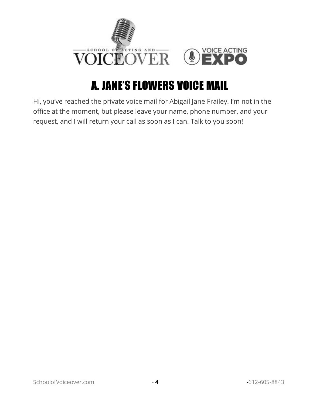

## A. JANE'S FLOWERS VOICE MAIL

<span id="page-5-0"></span>Hi, you've reached the private voice mail for Abigail Jane Frailey. I'm not in the office at the moment, but please leave your name, phone number, and your request, and I will return your call as soon as I can. Talk to you soon!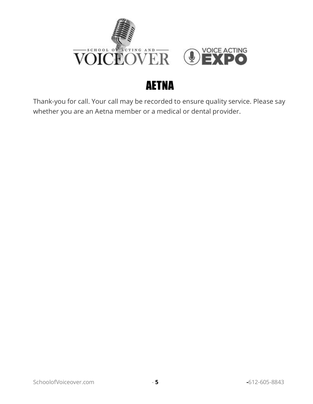

## AETNA

<span id="page-6-0"></span>Thank-you for call. Your call may be recorded to ensure quality service. Please say whether you are an Aetna member or a medical or dental provider.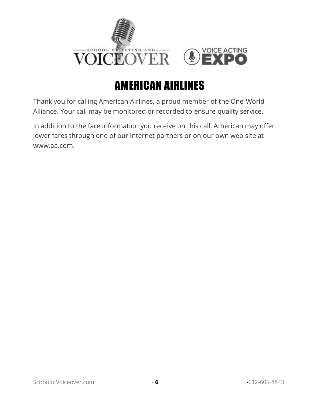

## AMERICAN AIRLINES

<span id="page-7-0"></span>Thank you for calling American Airlines, a proud member of the One-World Alliance. Your call may be monitored or recorded to ensure quality service.

In addition to the fare information you receive on this call, American may offer lower fares through one of our internet partners or on our own web site at www.aa.com.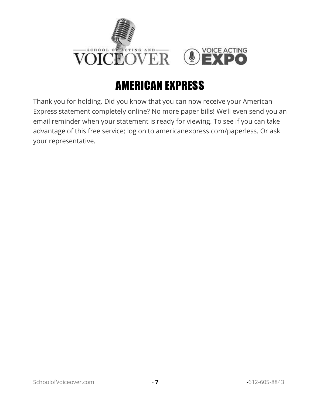

#### AMERICAN EXPRESS

<span id="page-8-0"></span>Thank you for holding. Did you know that you can now receive your American Express statement completely online? No more paper bills! We'll even send you an email reminder when your statement is ready for viewing. To see if you can take advantage of this free service; log on to americanexpress.com/paperless. Or ask your representative.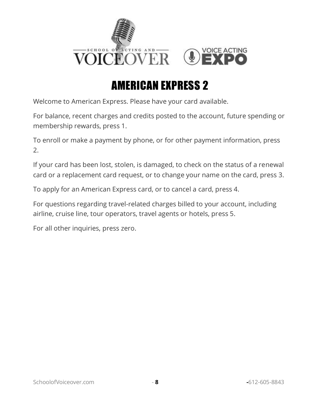

## AMERICAN EXPRESS 2

<span id="page-9-0"></span>Welcome to American Express. Please have your card available.

For balance, recent charges and credits posted to the account, future spending or membership rewards, press 1.

To enroll or make a payment by phone, or for other payment information, press 2.

If your card has been lost, stolen, is damaged, to check on the status of a renewal card or a replacement card request, or to change your name on the card, press 3.

To apply for an American Express card, or to cancel a card, press 4.

For questions regarding travel-related charges billed to your account, including airline, cruise line, tour operators, travel agents or hotels, press 5.

For all other inquiries, press zero.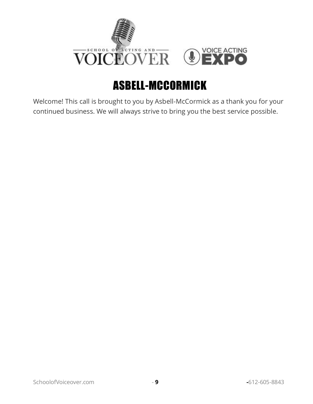

## ASBELL-MCCORMICK

<span id="page-10-0"></span>Welcome! This call is brought to you by Asbell-McCormick as a thank you for your continued business. We will always strive to bring you the best service possible.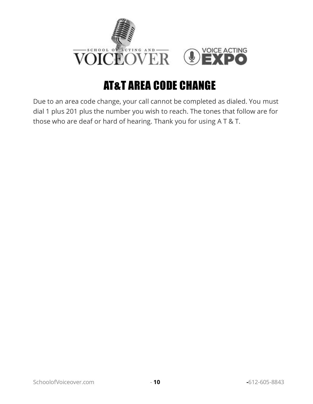

## AT&T AREA CODE CHANGE

<span id="page-11-0"></span>Due to an area code change, your call cannot be completed as dialed. You must dial 1 plus 201 plus the number you wish to reach. The tones that follow are for those who are deaf or hard of hearing. Thank you for using A T & T.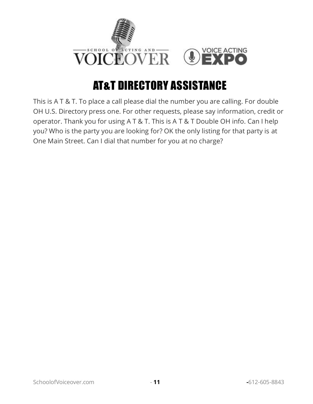

## AT&T DIRECTORY ASSISTANCE

<span id="page-12-0"></span>This is A T & T. To place a call please dial the number you are calling. For double OH U.S. Directory press one. For other requests, please say information, credit or operator. Thank you for using A T & T. This is A T & T Double OH info. Can I help you? Who is the party you are looking for? OK the only listing for that party is at One Main Street. Can I dial that number for you at no charge?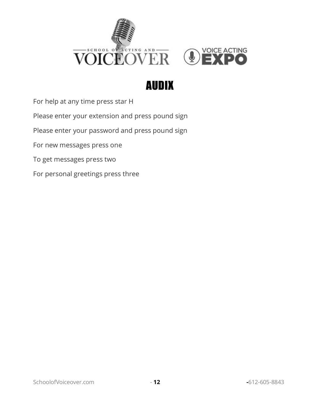



#### AUDIX

<span id="page-13-0"></span>For help at any time press star H

Please enter your extension and press pound sign

Please enter your password and press pound sign

For new messages press one

To get messages press two

For personal greetings press three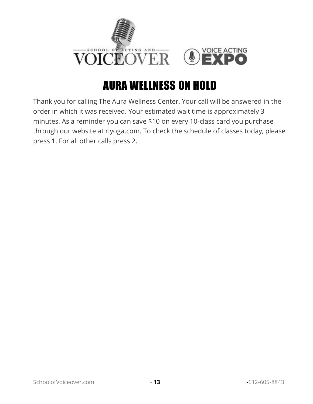

#### AURA WELLNESS ON HOLD

<span id="page-14-0"></span>Thank you for calling The Aura Wellness Center. Your call will be answered in the order in which it was received. Your estimated wait time is approximately 3 minutes. As a reminder you can save \$10 on every 10-class card you purchase through our website at riyoga.com. To check the schedule of classes today, please press 1. For all other calls press 2.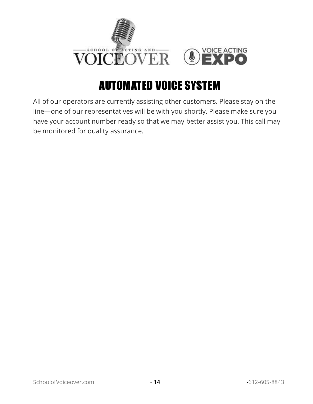

## AUTOMATED VOICE SYSTEM

<span id="page-15-0"></span>All of our operators are currently assisting other customers. Please stay on the line—one of our representatives will be with you shortly. Please make sure you have your account number ready so that we may better assist you. This call may be monitored for quality assurance.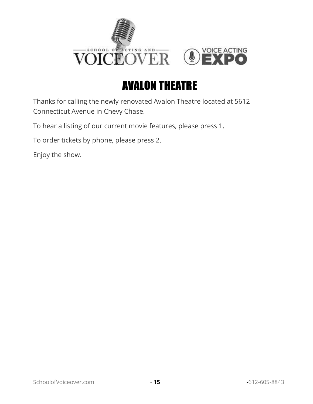

## AVALON THEATRE

<span id="page-16-0"></span>Thanks for calling the newly renovated Avalon Theatre located at 5612 Connecticut Avenue in Chevy Chase.

To hear a listing of our current movie features, please press 1.

To order tickets by phone, please press 2.

Enjoy the show.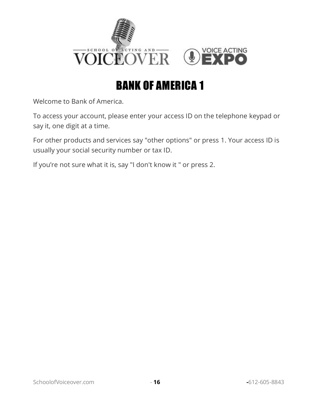

## BANK OF AMERICA 1

<span id="page-17-0"></span>Welcome to Bank of America.

To access your account, please enter your access ID on the telephone keypad or say it, one digit at a time.

For other products and services say "other options" or press 1. Your access ID is usually your social security number or tax ID.

If you're not sure what it is, say "I don't know it " or press 2.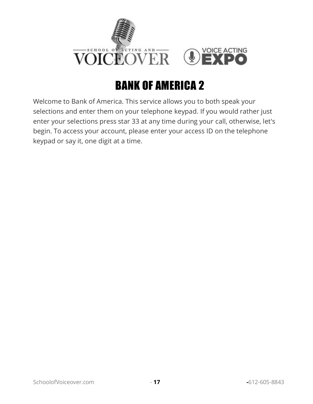

## BANK OF AMERICA 2

<span id="page-18-0"></span>Welcome to Bank of America. This service allows you to both speak your selections and enter them on your telephone keypad. If you would rather just enter your selections press star 33 at any time during your call, otherwise, let's begin. To access your account, please enter your access ID on the telephone keypad or say it, one digit at a time.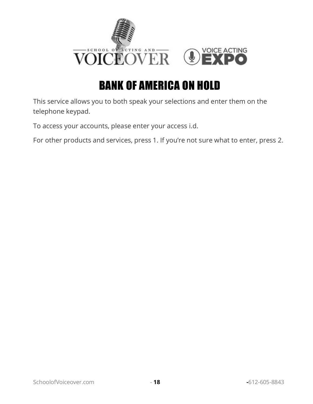

#### BANK OF AMERICA ON HOLD

<span id="page-19-0"></span>This service allows you to both speak your selections and enter them on the telephone keypad.

To access your accounts, please enter your access i.d.

For other products and services, press 1. If you're not sure what to enter, press 2.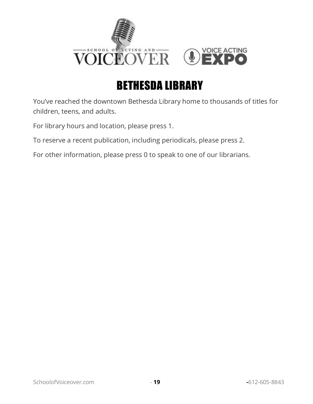

## BETHESDA LIBRARY

<span id="page-20-0"></span>You've reached the downtown Bethesda Library home to thousands of titles for children, teens, and adults.

For library hours and location, please press 1.

To reserve a recent publication, including periodicals, please press 2.

For other information, please press 0 to speak to one of our librarians.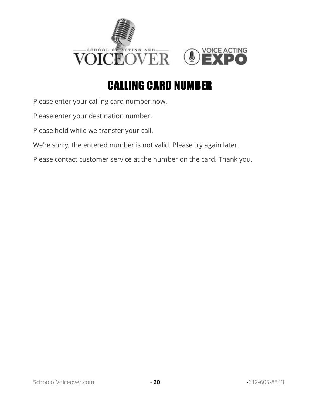

#### CALLING CARD NUMBER

<span id="page-21-0"></span>Please enter your calling card number now.

Please enter your destination number.

Please hold while we transfer your call.

We're sorry, the entered number is not valid. Please try again later.

Please contact customer service at the number on the card. Thank you.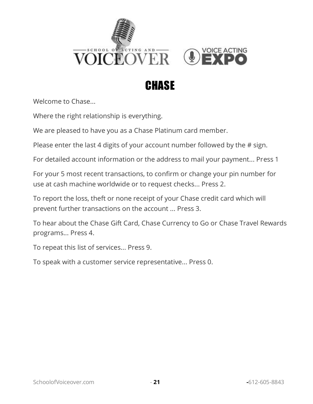

## **CHASE**

<span id="page-22-0"></span>Welcome to Chase...

Where the right relationship is everything.

We are pleased to have you as a Chase Platinum card member.

Please enter the last 4 digits of your account number followed by the # sign.

For detailed account information or the address to mail your payment... Press 1

For your 5 most recent transactions, to confirm or change your pin number for use at cash machine worldwide or to request checks... Press 2.

To report the loss, theft or none receipt of your Chase credit card which will prevent further transactions on the account ... Press 3.

To hear about the Chase Gift Card, Chase Currency to Go or Chase Travel Rewards programs... Press 4.

To repeat this list of services... Press 9.

To speak with a customer service representative... Press 0.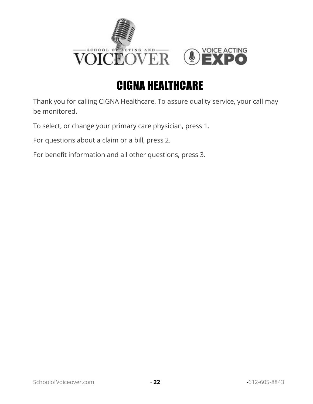

## CIGNA HEALTHCARE

<span id="page-23-0"></span>Thank you for calling CIGNA Healthcare. To assure quality service, your call may be monitored.

To select, or change your primary care physician, press 1.

For questions about a claim or a bill, press 2.

For benefit information and all other questions, press 3.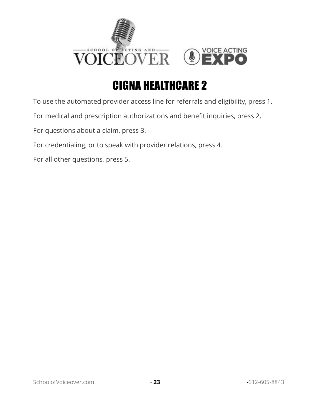

## CIGNA HEALTHCARE 2

<span id="page-24-0"></span>To use the automated provider access line for referrals and eligibility, press 1.

For medical and prescription authorizations and benefit inquiries, press 2.

For questions about a claim, press 3.

For credentialing, or to speak with provider relations, press 4.

For all other questions, press 5.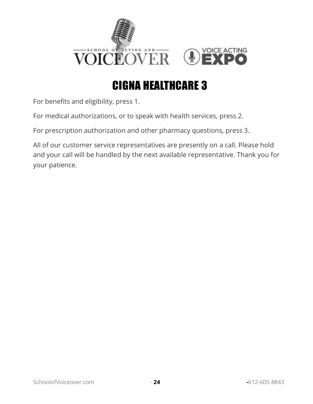

## CIGNA HEALTHCARE 3

<span id="page-25-0"></span>For benefits and eligibility, press 1.

For medical authorizations, or to speak with health services, press 2.

For prescription authorization and other pharmacy questions, press 3.

All of our customer service representatives are presently on a call. Please hold and your call will be handled by the next available representative. Thank you for your patience.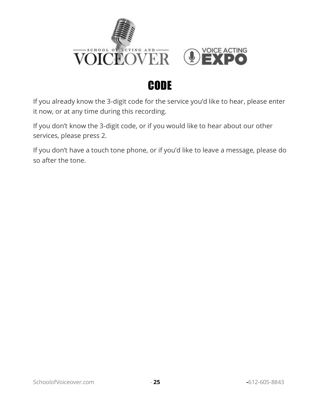

## CODE

<span id="page-26-0"></span>If you already know the 3-digit code for the service you'd like to hear, please enter it now, or at any time during this recording.

If you don't know the 3-digit code, or if you would like to hear about our other services, please press 2.

If you don't have a touch tone phone, or if you'd like to leave a message, please do so after the tone.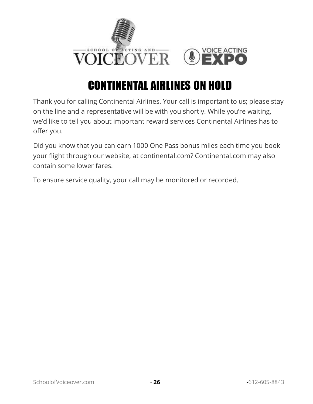

#### CONTINENTAL AIRLINES ON HOLD

<span id="page-27-0"></span>Thank you for calling Continental Airlines. Your call is important to us; please stay on the line and a representative will be with you shortly. While you're waiting, we'd like to tell you about important reward services Continental Airlines has to offer you.

Did you know that you can earn 1000 One Pass bonus miles each time you book your flight through our website, at continental.com? Continental.com may also contain some lower fares.

To ensure service quality, your call may be monitored or recorded.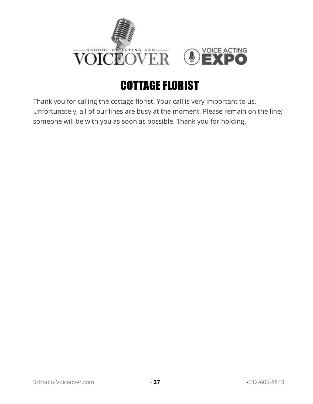

## COTTAGE FLORIST

<span id="page-28-0"></span>Thank you for calling the cottage florist. Your call is very important to us. Unfortunately, all of our lines are busy at the moment. Please remain on the line; someone will be with you as soon as possible. Thank you for holding.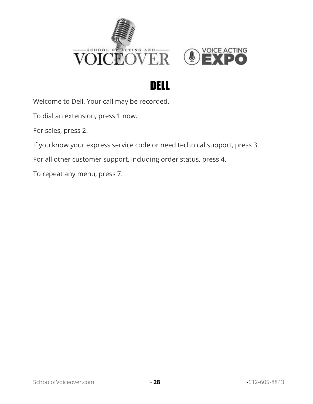



## DELL

<span id="page-29-0"></span>Welcome to Dell. Your call may be recorded.

To dial an extension, press 1 now.

For sales, press 2.

If you know your express service code or need technical support, press 3.

For all other customer support, including order status, press 4.

To repeat any menu, press 7.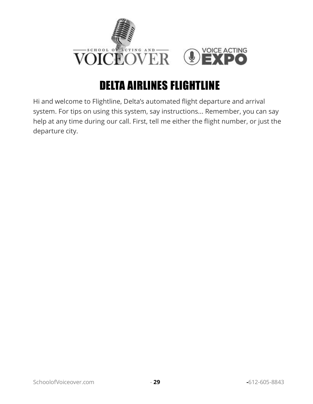

## DELTA AIRLINES FLIGHTLINE

<span id="page-30-0"></span>Hi and welcome to Flightline, Delta's automated flight departure and arrival system. For tips on using this system, say instructions... Remember, you can say help at any time during our call. First, tell me either the flight number, or just the departure city.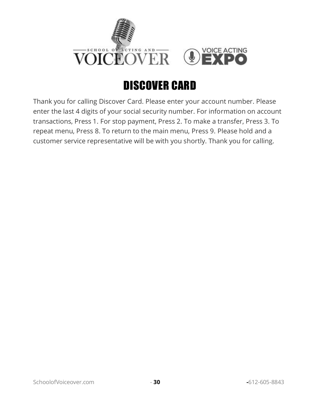

#### DISCOVER CARD

<span id="page-31-0"></span>Thank you for calling Discover Card. Please enter your account number. Please enter the last 4 digits of your social security number. For information on account transactions, Press 1. For stop payment, Press 2. To make a transfer, Press 3. To repeat menu, Press 8. To return to the main menu, Press 9. Please hold and a customer service representative will be with you shortly. Thank you for calling.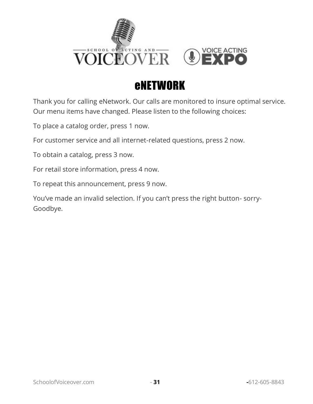

#### eNETWORK

<span id="page-32-0"></span>Thank you for calling eNetwork. Our calls are monitored to insure optimal service. Our menu items have changed. Please listen to the following choices:

To place a catalog order, press 1 now.

For customer service and all internet-related questions, press 2 now.

To obtain a catalog, press 3 now.

For retail store information, press 4 now.

To repeat this announcement, press 9 now.

You've made an invalid selection. If you can't press the right button- sorry-Goodbye.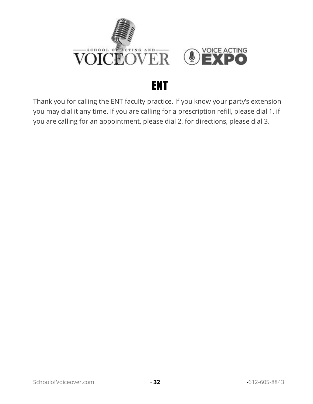

#### ENT

<span id="page-33-0"></span>Thank you for calling the ENT faculty practice. If you know your party's extension you may dial it any time. If you are calling for a prescription refill, please dial 1, if you are calling for an appointment, please dial 2, for directions, please dial 3.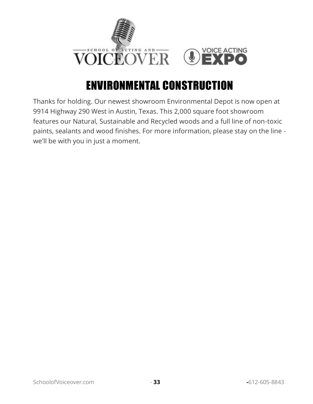

#### ENVIRONMENTAL CONSTRUCTION

<span id="page-34-0"></span>Thanks for holding. Our newest showroom Environmental Depot is now open at 9914 Highway 290 West in Austin, Texas. This 2,000 square foot showroom features our Natural, Sustainable and Recycled woods and a full line of non-toxic paints, sealants and wood finishes. For more information, please stay on the line we'll be with you in just a moment.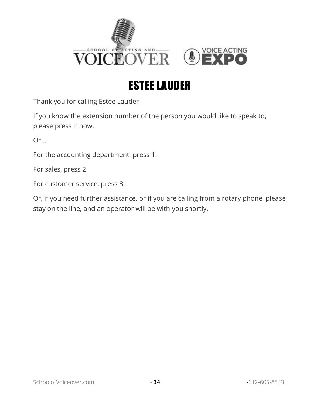

## ESTEE LAUDER

<span id="page-35-0"></span>Thank you for calling Estee Lauder.

If you know the extension number of the person you would like to speak to, please press it now.

Or...

For the accounting department, press 1.

For sales, press 2.

For customer service, press 3.

Or, if you need further assistance, or if you are calling from a rotary phone, please stay on the line, and an operator will be with you shortly.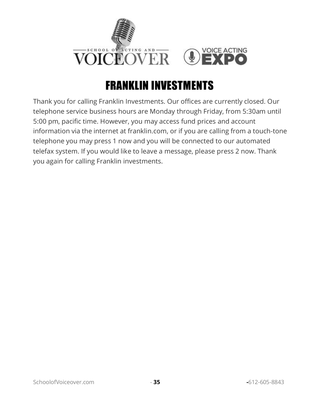

#### FRANKLIN INVESTMENTS

<span id="page-36-0"></span>Thank you for calling Franklin Investments. Our offices are currently closed. Our telephone service business hours are Monday through Friday, from 5:30am until 5:00 pm, pacific time. However, you may access fund prices and account information via the internet at franklin.com, or if you are calling from a touch-tone telephone you may press 1 now and you will be connected to our automated telefax system. If you would like to leave a message, please press 2 now. Thank you again for calling Franklin investments.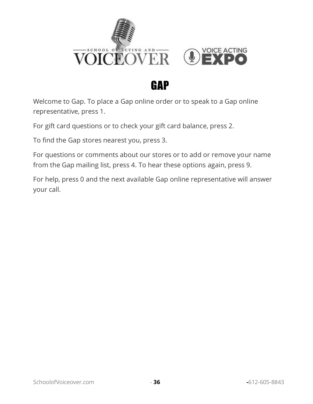

#### **GAP**

<span id="page-37-0"></span>Welcome to Gap. To place a Gap online order or to speak to a Gap online representative, press 1.

For gift card questions or to check your gift card balance, press 2.

To find the Gap stores nearest you, press 3.

For questions or comments about our stores or to add or remove your name from the Gap mailing list, press 4. To hear these options again, press 9.

For help, press 0 and the next available Gap online representative will answer your call.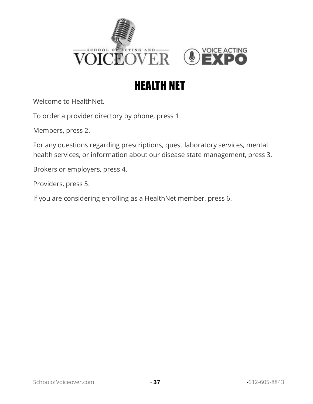

#### HEALTH NET

<span id="page-38-0"></span>Welcome to HealthNet.

To order a provider directory by phone, press 1.

Members, press 2.

For any questions regarding prescriptions, quest laboratory services, mental health services, or information about our disease state management, press 3.

Brokers or employers, press 4.

Providers, press 5.

If you are considering enrolling as a HealthNet member, press 6.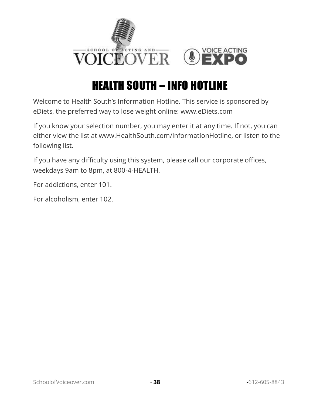

## HEALTH SOUTH – INFO HOTLINE

<span id="page-39-0"></span>Welcome to Health South's Information Hotline. This service is sponsored by eDiets, the preferred way to lose weight online: www.eDiets.com

If you know your selection number, you may enter it at any time. If not, you can either view the list at www.HealthSouth.com/InformationHotline, or listen to the following list.

If you have any difficulty using this system, please call our corporate offices, weekdays 9am to 8pm, at 800-4-HEALTH.

For addictions, enter 101.

For alcoholism, enter 102.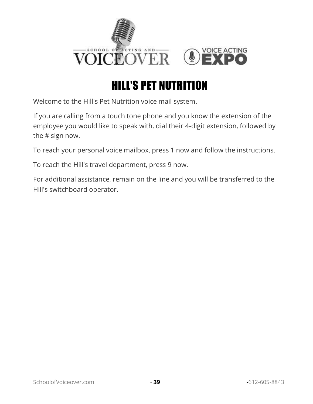

## HILL'S PET NUTRITION

<span id="page-40-0"></span>Welcome to the Hill's Pet Nutrition voice mail system.

If you are calling from a touch tone phone and you know the extension of the employee you would like to speak with, dial their 4-digit extension, followed by the # sign now.

To reach your personal voice mailbox, press 1 now and follow the instructions.

To reach the Hill's travel department, press 9 now.

For additional assistance, remain on the line and you will be transferred to the Hill's switchboard operator.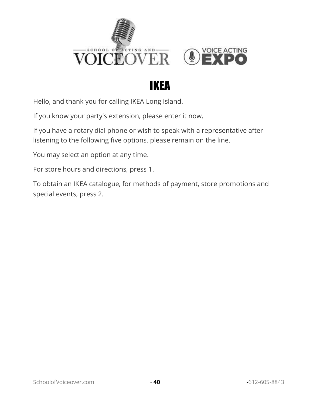

## IKEA

<span id="page-41-0"></span>Hello, and thank you for calling IKEA Long Island.

If you know your party's extension, please enter it now.

If you have a rotary dial phone or wish to speak with a representative after listening to the following five options, please remain on the line.

You may select an option at any time.

For store hours and directions, press 1.

To obtain an IKEA catalogue, for methods of payment, store promotions and special events, press 2.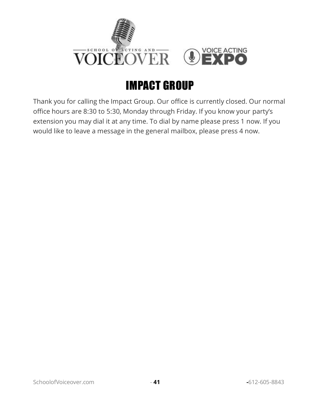

## IMPACT GROUP

<span id="page-42-0"></span>Thank you for calling the Impact Group. Our office is currently closed. Our normal office hours are 8:30 to 5:30, Monday through Friday. If you know your party's extension you may dial it at any time. To dial by name please press 1 now. If you would like to leave a message in the general mailbox, please press 4 now.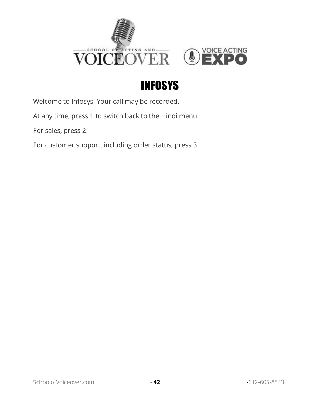

## INFOSYS

<span id="page-43-0"></span>Welcome to Infosys. Your call may be recorded.

At any time, press 1 to switch back to the Hindi menu.

For sales, press 2.

For customer support, including order status, press 3.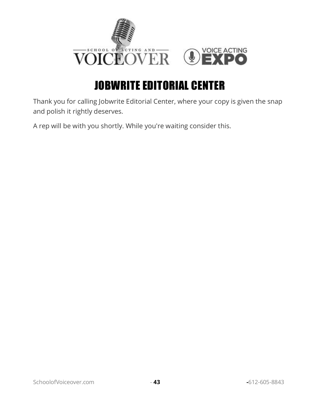

#### JOBWRITE EDITORIAL CENTER

<span id="page-44-0"></span>Thank you for calling Jobwrite Editorial Center, where your copy is given the snap and polish it rightly deserves.

A rep will be with you shortly. While you're waiting consider this.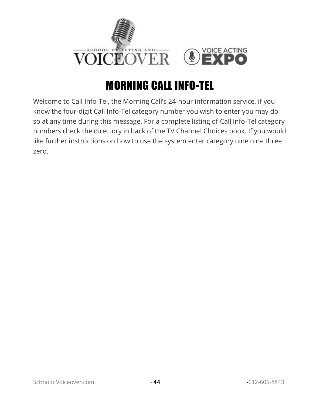

#### MORNING CALL INFO-TEL

<span id="page-45-0"></span>Welcome to Call Info-Tel, the Morning Call's 24-hour information service, if you know the four-digit Call Info-Tel category number you wish to enter you may do so at any time during this message. For a complete listing of Call Info-Tel category numbers check the directory in back of the TV Channel Choices book. If you would like further instructions on how to use the system enter category nine nine three zero.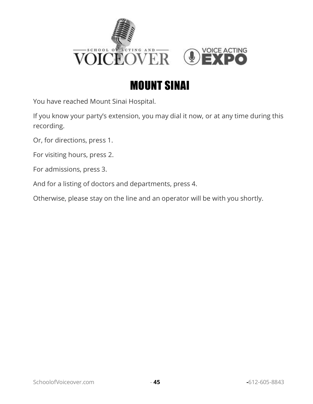

#### MOUNT SINAI

<span id="page-46-0"></span>You have reached Mount Sinai Hospital.

If you know your party's extension, you may dial it now, or at any time during this recording.

Or, for directions, press 1.

For visiting hours, press 2.

For admissions, press 3.

And for a listing of doctors and departments, press 4.

Otherwise, please stay on the line and an operator will be with you shortly.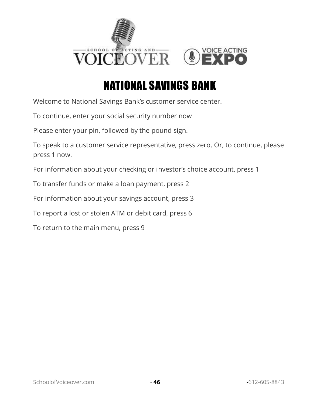

#### NATIONAL SAVINGS BANK

<span id="page-47-0"></span>Welcome to National Savings Bank's customer service center.

To continue, enter your social security number now

Please enter your pin, followed by the pound sign.

To speak to a customer service representative, press zero. Or, to continue, please press 1 now.

For information about your checking or investor's choice account, press 1

To transfer funds or make a loan payment, press 2

For information about your savings account, press 3

To report a lost or stolen ATM or debit card, press 6

To return to the main menu, press 9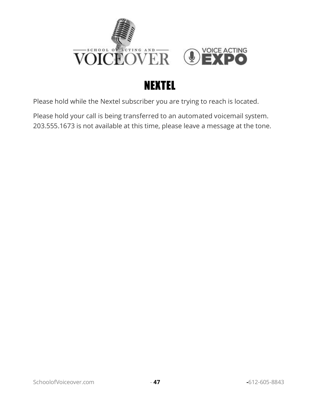

#### NEXTEL

<span id="page-48-0"></span>Please hold while the Nextel subscriber you are trying to reach is located.

Please hold your call is being transferred to an automated voicemail system. 203.555.1673 is not available at this time, please leave a message at the tone.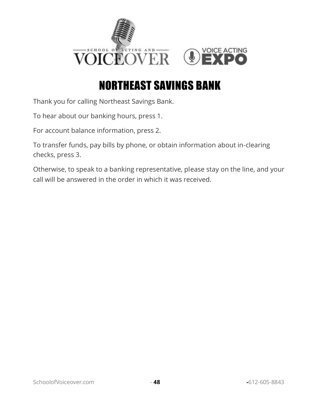



#### NORTHEAST SAVINGS BANK

<span id="page-49-0"></span>Thank you for calling Northeast Savings Bank.

To hear about our banking hours, press 1.

For account balance information, press 2.

To transfer funds, pay bills by phone, or obtain information about in-clearing checks, press 3.

Otherwise, to speak to a banking representative, please stay on the line, and your call will be answered in the order in which it was received.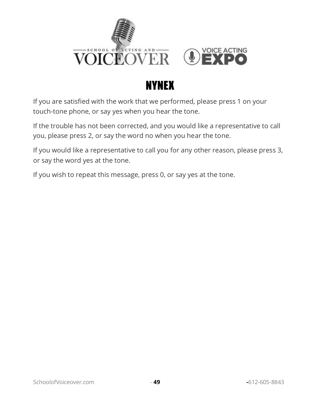

## NYNEX

<span id="page-50-0"></span>If you are satisfied with the work that we performed, please press 1 on your touch-tone phone, or say yes when you hear the tone.

If the trouble has not been corrected, and you would like a representative to call you, please press 2, or say the word no when you hear the tone.

If you would like a representative to call you for any other reason, please press 3, or say the word yes at the tone.

If you wish to repeat this message, press 0, or say yes at the tone.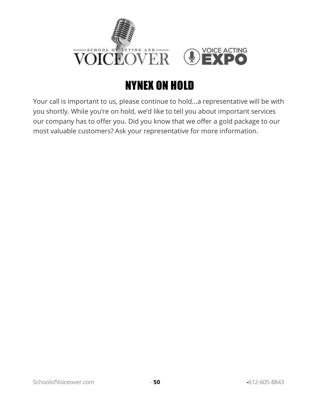

## NYNEX ON HOLD

<span id="page-51-0"></span>Your call is important to us, please continue to hold...a representative will be with you shortly. While you're on hold, we'd like to tell you about important services our company has to offer you. Did you know that we offer a gold package to our most valuable customers? Ask your representative for more information.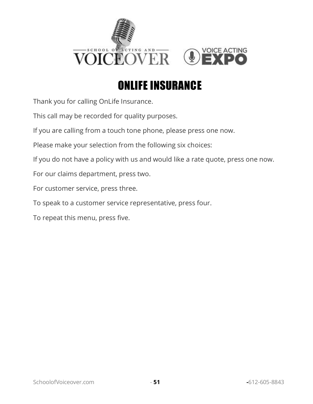

## ONLIFE INSURANCE

<span id="page-52-0"></span>Thank you for calling OnLife Insurance.

This call may be recorded for quality purposes.

If you are calling from a touch tone phone, please press one now.

Please make your selection from the following six choices:

If you do not have a policy with us and would like a rate quote, press one now.

For our claims department, press two.

For customer service, press three.

To speak to a customer service representative, press four.

To repeat this menu, press five.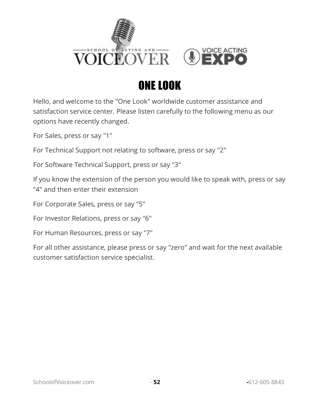

## ONE LOOK

<span id="page-53-0"></span>Hello, and welcome to the "One Look" worldwide customer assistance and satisfaction service center. Please listen carefully to the following menu as our options have recently changed.

For Sales, press or say "1"

For Technical Support not relating to software, press or say "2"

For Software Technical Support, press or say "3"

If you know the extension of the person you would like to speak with, press or say "4" and then enter their extension

For Corporate Sales, press or say "5"

For Investor Relations, press or say "6"

For Human Resources, press or say "7"

For all other assistance, please press or say "zero" and wait for the next available customer satisfaction service specialist.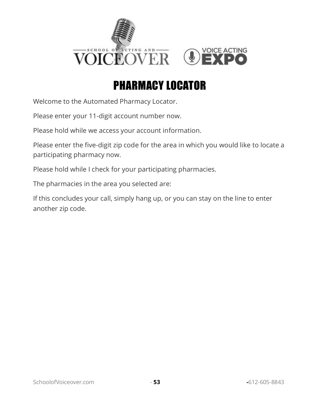

#### PHARMACY LOCATOR

<span id="page-54-0"></span>Welcome to the Automated Pharmacy Locator.

Please enter your 11-digit account number now.

Please hold while we access your account information.

Please enter the five-digit zip code for the area in which you would like to locate a participating pharmacy now.

Please hold while I check for your participating pharmacies.

The pharmacies in the area you selected are:

If this concludes your call, simply hang up, or you can stay on the line to enter another zip code.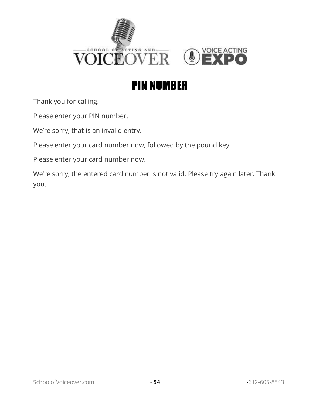

#### PIN NUMBER

<span id="page-55-0"></span>Thank you for calling.

Please enter your PIN number.

We're sorry, that is an invalid entry.

Please enter your card number now, followed by the pound key.

Please enter your card number now.

We're sorry, the entered card number is not valid. Please try again later. Thank you.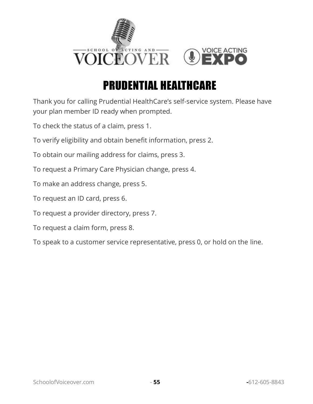

## PRUDENTIAL HEALTHCARE

<span id="page-56-0"></span>Thank you for calling Prudential HealthCare's self-service system. Please have your plan member ID ready when prompted.

To check the status of a claim, press 1.

To verify eligibility and obtain benefit information, press 2.

To obtain our mailing address for claims, press 3.

To request a Primary Care Physician change, press 4.

To make an address change, press 5.

To request an ID card, press 6.

To request a provider directory, press 7.

To request a claim form, press 8.

To speak to a customer service representative, press 0, or hold on the line.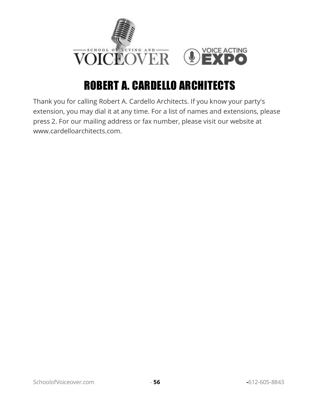

## ROBERT A. CARDELLO ARCHITECTS

<span id="page-57-0"></span>Thank you for calling Robert A. Cardello Architects. If you know your party's extension, you may dial it at any time. For a list of names and extensions, please press 2. For our mailing address or fax number, please visit our website at www.cardelloarchitects.com.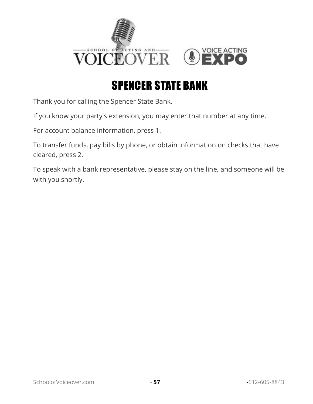

## SPENCER STATE BANK

<span id="page-58-0"></span>Thank you for calling the Spencer State Bank.

If you know your party's extension, you may enter that number at any time.

For account balance information, press 1.

To transfer funds, pay bills by phone, or obtain information on checks that have cleared, press 2.

To speak with a bank representative, please stay on the line, and someone will be with you shortly.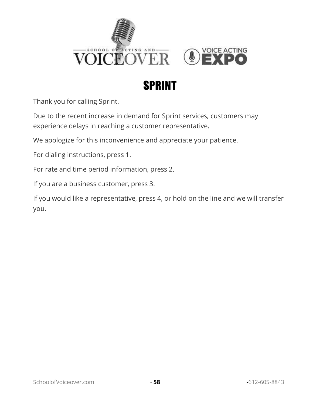

## SPRINT

<span id="page-59-0"></span>Thank you for calling Sprint.

Due to the recent increase in demand for Sprint services, customers may experience delays in reaching a customer representative.

We apologize for this inconvenience and appreciate your patience.

For dialing instructions, press 1.

For rate and time period information, press 2.

If you are a business customer, press 3.

If you would like a representative, press 4, or hold on the line and we will transfer you.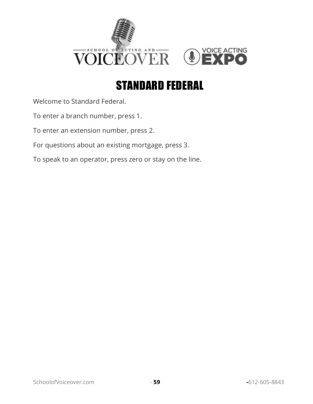

## STANDARD FEDERAL

<span id="page-60-0"></span>Welcome to Standard Federal.

To enter a branch number, press 1.

To enter an extension number, press 2.

For questions about an existing mortgage, press 3.

To speak to an operator, press zero or stay on the line.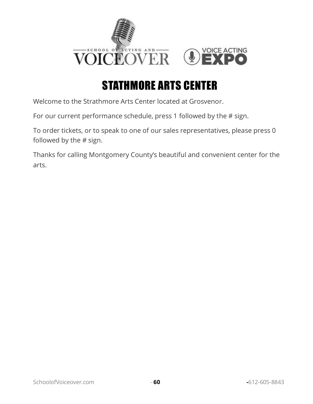

#### STATHMORE ARTS CENTER

<span id="page-61-0"></span>Welcome to the Strathmore Arts Center located at Grosvenor.

For our current performance schedule, press 1 followed by the # sign.

To order tickets, or to speak to one of our sales representatives, please press 0 followed by the # sign.

Thanks for calling Montgomery County's beautiful and convenient center for the arts.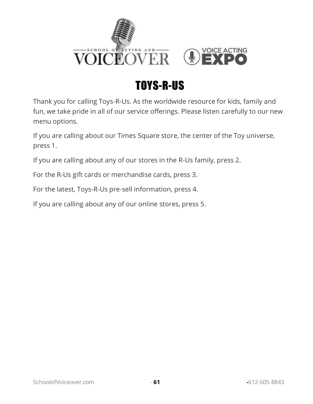

## TOYS-R-US

<span id="page-62-0"></span>Thank you for calling Toys-R-Us. As the worldwide resource for kids, family and fun, we take pride in all of our service offerings. Please listen carefully to our new menu options.

If you are calling about our Times Square store, the center of the Toy universe, press 1.

If you are calling about any of our stores in the R-Us family, press 2.

For the R-Us gift cards or merchandise cards, press 3.

For the latest, Toys-R-Us pre-sell information, press 4.

If you are calling about any of our online stores, press 5.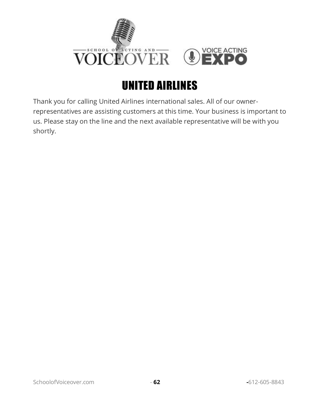

## UNITED AIRLINES

<span id="page-63-0"></span>Thank you for calling United Airlines international sales. All of our ownerrepresentatives are assisting customers at this time. Your business is important to us. Please stay on the line and the next available representative will be with you shortly.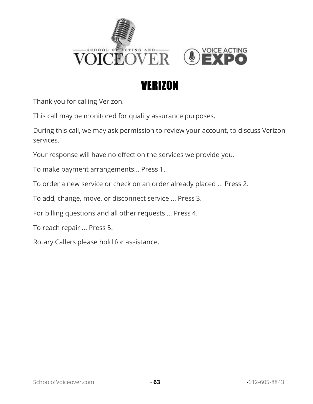

<span id="page-64-0"></span>Thank you for calling Verizon.

This call may be monitored for quality assurance purposes.

During this call, we may ask permission to review your account, to discuss Verizon services.

Your response will have no effect on the services we provide you.

To make payment arrangements... Press 1.

To order a new service or check on an order already placed ... Press 2.

To add, change, move, or disconnect service ... Press 3.

For billing questions and all other requests ... Press 4.

To reach repair ... Press 5.

Rotary Callers please hold for assistance.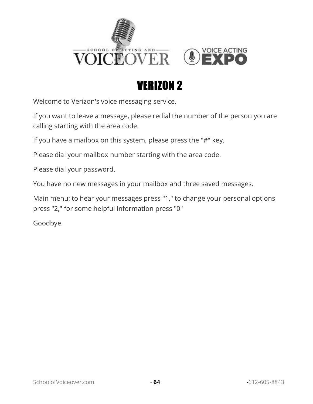

<span id="page-65-0"></span>Welcome to Verizon's voice messaging service.

If you want to leave a message, please redial the number of the person you are calling starting with the area code.

If you have a mailbox on this system, please press the "#" key.

Please dial your mailbox number starting with the area code.

Please dial your password.

You have no new messages in your mailbox and three saved messages.

Main menu: to hear your messages press "1," to change your personal options press "2," for some helpful information press "0"

Goodbye.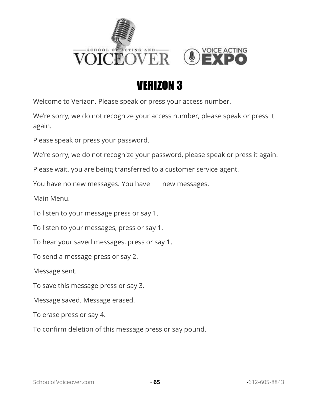

<span id="page-66-0"></span>Welcome to Verizon. Please speak or press your access number.

We're sorry, we do not recognize your access number, please speak or press it again.

Please speak or press your password.

We're sorry, we do not recognize your password, please speak or press it again.

Please wait, you are being transferred to a customer service agent.

You have no new messages. You have \_\_\_ new messages.

Main Menu.

To listen to your message press or say 1.

To listen to your messages, press or say 1.

To hear your saved messages, press or say 1.

To send a message press or say 2.

Message sent.

To save this message press or say 3.

Message saved. Message erased.

To erase press or say 4.

To confirm deletion of this message press or say pound.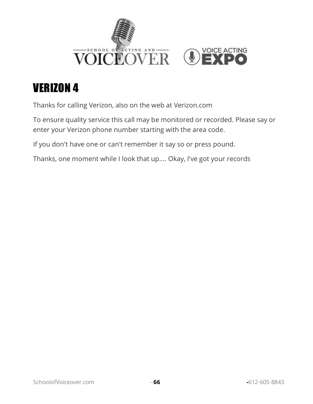

Thanks for calling Verizon, also on the web at Verizon.com

To ensure quality service this call may be monitored or recorded. Please say or enter your Verizon phone number starting with the area code.

If you don't have one or can't remember it say so or press pound.

Thanks, one moment while I look that up.... Okay, I've got your records